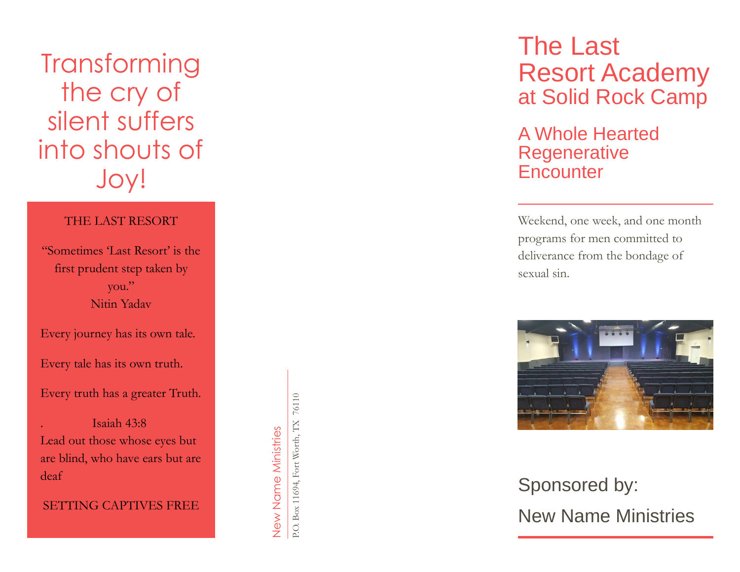**Transforming** the cry of silent suffers into shouts of Joy !

### THE LAST RESORT

"Sometimes 'Last Resort' is the first prudent step taken by you." Nitin Yadav

Every journey has its own tale.

Every tale has its own truth.

Every truth has a greater Truth.

. Isaiah 43:8 Lead out those whose eyes but are blind, who have ears but are deaf

SETTING CAPTIVES FREE

P.O. Box 11694, Fort Worth, TX 76110 P.O. Box 11694, Fort Worth, TX 76110 New Name Ministries New Name Ministries

The Last Resort Academy at Solid Rock Camp

A Whole Hearted **Regenerative Encounter** 

Weekend, one week, and one month programs for men committed to deliverance from the bondage of sexual sin .



# Sponsored by : New Name Ministries